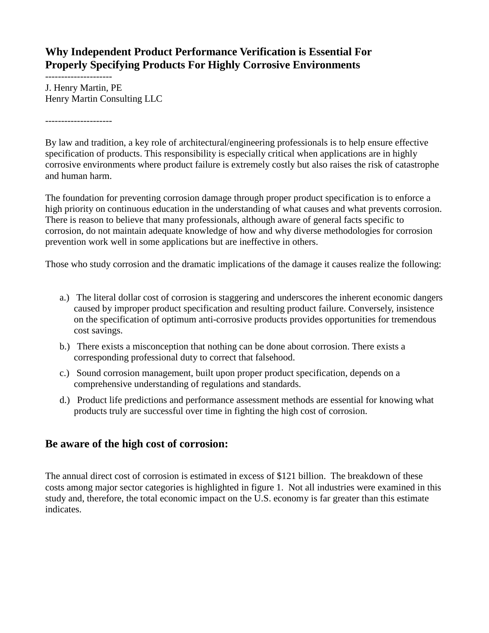## **Why Independent Product Performance Verification is Essential For Properly Specifying Products For Highly Corrosive Environments**

--------------------- J. Henry Martin, PE Henry Martin Consulting LLC

---------------------

By law and tradition, a key role of architectural/engineering professionals is to help ensure effective specification of products. This responsibility is especially critical when applications are in highly corrosive environments where product failure is extremely costly but also raises the risk of catastrophe and human harm.

The foundation for preventing corrosion damage through proper product specification is to enforce a high priority on continuous education in the understanding of what causes and what prevents corrosion. There is reason to believe that many professionals, although aware of general facts specific to corrosion, do not maintain adequate knowledge of how and why diverse methodologies for corrosion prevention work well in some applications but are ineffective in others.

Those who study corrosion and the dramatic implications of the damage it causes realize the following:

- a.) The literal dollar cost of corrosion is staggering and underscores the inherent economic dangers caused by improper product specification and resulting product failure. Conversely, insistence on the specification of optimum anti-corrosive products provides opportunities for tremendous cost savings.
- b.) There exists a misconception that nothing can be done about corrosion. There exists a corresponding professional duty to correct that falsehood.
- c.) Sound corrosion management, built upon proper product specification, depends on a comprehensive understanding of regulations and standards.
- d.) Product life predictions and performance assessment methods are essential for knowing what products truly are successful over time in fighting the high cost of corrosion.

### **Be aware of the high cost of corrosion:**

The annual direct cost of corrosion is estimated in excess of \$121 billion. The breakdown of these costs among major sector categories is highlighted in figure 1. Not all industries were examined in this study and, therefore, the total economic impact on the U.S. economy is far greater than this estimate indicates.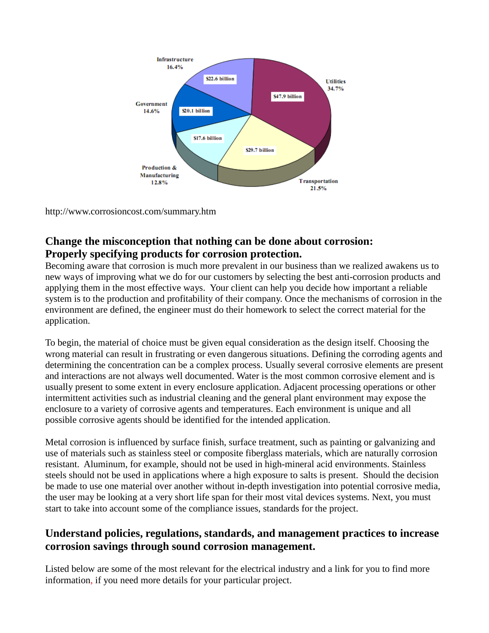

<http://www.corrosioncost.com/summary.htm>

# **Change the misconception that nothing can be done about corrosion: Properly specifying products for corrosion protection.**

Becoming aware that corrosion is much more prevalent in our business than we realized awakens us to new ways of improving what we do for our customers by selecting the best anti-corrosion products and applying them in the most effective ways. Your client can help you decide how important a reliable system is to the production and profitability of their company. Once the mechanisms of corrosion in the environment are defined, the engineer must do their homework to select the correct material for the application.

To begin, the material of choice must be given equal consideration as the design itself. Choosing the wrong material can result in frustrating or even dangerous situations. Defining the corroding agents and determining the concentration can be a complex process. Usually several corrosive elements are present and interactions are not always well documented. Water is the most common corrosive element and is usually present to some extent in every enclosure application. Adjacent processing operations or other intermittent activities such as industrial cleaning and the general plant environment may expose the enclosure to a variety of corrosive agents and temperatures. Each environment is unique and all possible corrosive agents should be identified for the intended application.

Metal corrosion is influenced by surface finish, surface treatment, such as painting or galvanizing and use of materials such as stainless steel or composite fiberglass materials, which are naturally corrosion resistant. Aluminum, for example, should not be used in high-mineral acid environments. Stainless steels should not be used in applications where a high exposure to salts is present. Should the decision be made to use one material over another without in-depth investigation into potential corrosive media, the user may be looking at a very short life span for their most vital devices systems. Next, you must start to take into account some of the compliance issues, standards for the project.

## **Understand policies, regulations, standards, and management practices to increase corrosion savings through sound corrosion management.**

Listed below are some of the most relevant for the electrical industry and a link for you to find more information, if you need more details for your particular project.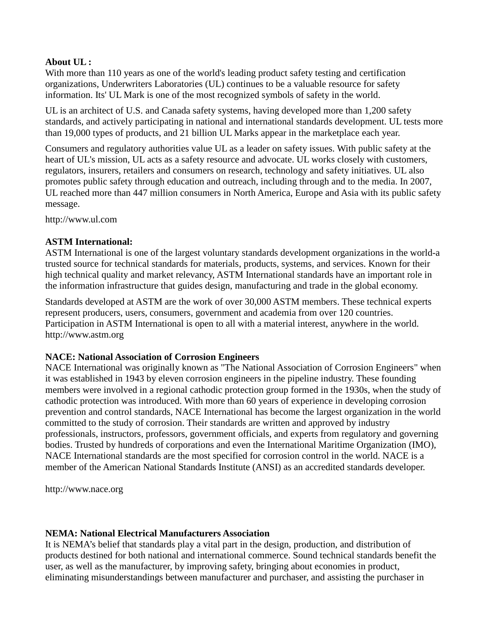#### **About UL :**

With more than 110 years as one of the world's leading product safety testing and certification organizations, Underwriters Laboratories (UL) continues to be a valuable resource for safety information. Its' UL Mark is one of the most recognized symbols of safety in the world.

UL is an architect of U.S. and Canada safety systems, having developed more than 1,200 safety standards, and actively participating in national and international standards development. UL tests more than 19,000 types of products, and 21 billion UL Marks appear in the marketplace each year.

Consumers and regulatory authorities value UL as a leader on safety issues. With public safety at the heart of UL's mission, UL acts as a safety resource and advocate. UL works closely with customers, regulators, insurers, retailers and consumers on research, technology and safety initiatives. UL also promotes public safety through education and outreach, including through and to the media. In 2007, UL reached more than 447 million consumers in North America, Europe and Asia with its public safety message.

[http://www.ul.com](http://www.ul.com/)

#### **ASTM International:**

ASTM International is one of the largest voluntary standards development organizations in the world-a trusted source for technical standards for materials, products, systems, and services. Known for their high technical quality and market relevancy, ASTM International standards have an important role in the information infrastructure that guides design, manufacturing and trade in the global economy.

Standards developed at ASTM are the work of over 30,000 ASTM members. These technical experts represent producers, users, consumers, government and academia from over 120 countries. Participation in ASTM International is open to all with a material interest, anywhere in the world. [http://www.astm.org](http://www.astm.org/)

#### **NACE: National Association of Corrosion Engineers**

NACE International was originally known as "The National Association of Corrosion Engineers" when it was established in 1943 by eleven corrosion engineers in the pipeline industry. These founding members were involved in a regional cathodic protection group formed in the 1930s, when the study of cathodic protection was introduced. With more than 60 years of experience in developing corrosion prevention and control standards, NACE International has become the largest organization in the world committed to the study of corrosion. Their standards are written and approved by industry professionals, instructors, professors, government officials, and experts from regulatory and governing bodies. Trusted by hundreds of corporations and even the International Maritime Organization (IMO), NACE International standards are the most specified for corrosion control in the world. NACE is a member of the American National Standards Institute (ANSI) as an accredited standards developer.

[http://www.nace.org](http://www.nace.org/)

#### **NEMA: National Electrical Manufacturers Association**

It is NEMA's belief that standards play a vital part in the design, production, and distribution of products destined for both national and international commerce. Sound technical standards benefit the user, as well as the manufacturer, by improving safety, bringing about economies in product, eliminating misunderstandings between manufacturer and purchaser, and assisting the purchaser in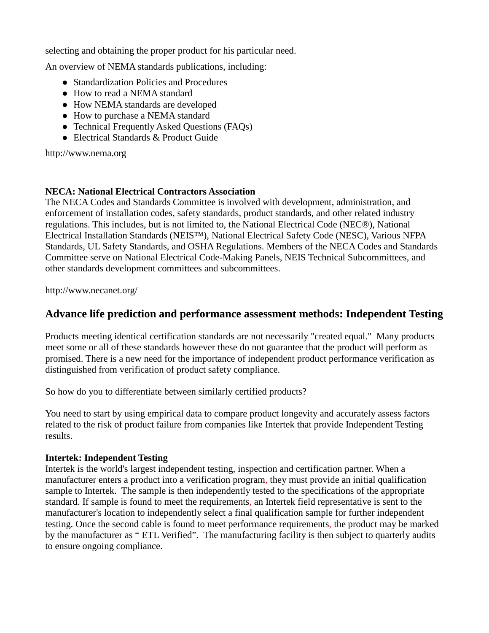selecting and obtaining the proper product for his particular need.

An overview of NEMA standards publications, including:

- [Standardization Policies and Procedures](http://www.nema.org/stds/aboutstds/upload/SPP-2008_final_updated.pdf)
- [How to read a NEMA standard](http://www.nema.org/stds/aboutstds/read.cfm)
- [How NEMA standards are developed](http://www.nema.org/stds/aboutstds/develop.cfm)
- [How to purchase a NEMA standard](http://www.nema.org/stds/aboutstds/purchase.cfm)
- [Technical Frequently Asked Questions \(FAQs\)](http://www.nema.org/stds/aboutstds/faqs.cfm)
- [Electrical Standards & Product Guide](javascript:HandleLink()

http://www.nema.org

#### **NECA: National Electrical Contractors Association**

The NECA Codes and Standards Committee is involved with development, administration, and enforcement of installation codes, safety standards, product standards, and other related industry regulations. This includes, but is not limited to, the National Electrical Code (NEC®), National Electrical Installation Standards (NEIS™), National Electrical Safety Code (NESC), Various NFPA Standards, UL Safety Standards, and OSHA Regulations. Members of the NECA Codes and Standards Committee serve on National Electrical Code-Making Panels, NEIS Technical Subcommittees, and other standards development committees and subcommittees.

http://www.necanet.org/

### **Advance life prediction and performance assessment methods: Independent Testing**

Products meeting identical certification standards are not necessarily "created equal." Many products meet some or all of these standards however these do not guarantee that the product will perform as promised. There is a new need for the importance of independent product performance verification as distinguished from verification of product safety compliance.

So how do you to differentiate between similarly certified products?

You need to start by using empirical data to compare product longevity and accurately assess factors related to the risk of product failure from companies like Intertek that provide Independent Testing results.

#### **Intertek: Independent Testing**

Intertek is the world's largest independent testing, inspection and certification partner. When a manufacturer enters a product into a verification program, they must provide an initial qualification sample to Intertek. The sample is then independently tested to the specifications of the appropriate standard. If sample is found to meet the requirements, an Intertek field representative is sent to the manufacturer's location to independently select a final qualification sample for further independent testing. Once the second cable is found to meet performance requirements, the product may be marked by the manufacturer as " ETL Verified". The manufacturing facility is then subject to quarterly audits to ensure ongoing compliance.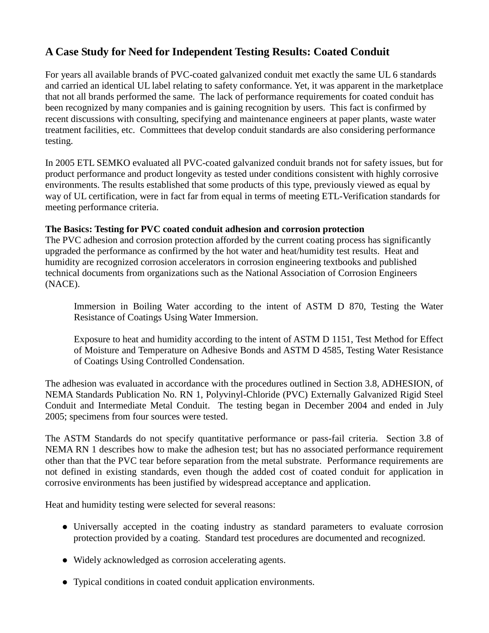# **A Case Study for Need for Independent Testing Results: Coated Conduit**

For years all available brands of PVC-coated galvanized conduit met exactly the same UL 6 standards and carried an identical UL label relating to safety conformance. Yet, it was apparent in the marketplace that not all brands performed the same. The lack of performance requirements for coated conduit has been recognized by many companies and is gaining recognition by users. This fact is confirmed by recent discussions with consulting, specifying and maintenance engineers at paper plants, waste water treatment facilities, etc. Committees that develop conduit standards are also considering performance testing.

In 2005 ETL SEMKO evaluated all PVC-coated galvanized conduit brands not for safety issues, but for product performance and product longevity as tested under conditions consistent with highly corrosive environments. The results established that some products of this type, previously viewed as equal by way of UL certification, were in fact far from equal in terms of meeting ETL-Verification standards for meeting performance criteria.

#### **The Basics: Testing for PVC coated conduit adhesion and corrosion protection**

The PVC adhesion and corrosion protection afforded by the current coating process has significantly upgraded the performance as confirmed by the hot water and heat/humidity test results. Heat and humidity are recognized corrosion accelerators in corrosion engineering textbooks and published technical documents from organizations such as the National Association of Corrosion Engineers (NACE).

Immersion in Boiling Water according to the intent of ASTM D 870, Testing the Water Resistance of Coatings Using Water Immersion.

Exposure to heat and humidity according to the intent of ASTM D 1151, Test Method for Effect of Moisture and Temperature on Adhesive Bonds and ASTM D 4585, Testing Water Resistance of Coatings Using Controlled Condensation.

The adhesion was evaluated in accordance with the procedures outlined in Section 3.8, ADHESION, of NEMA Standards Publication No. RN 1, Polyvinyl-Chloride (PVC) Externally Galvanized Rigid Steel Conduit and Intermediate Metal Conduit. The testing began in December 2004 and ended in July 2005; specimens from four sources were tested.

The ASTM Standards do not specify quantitative performance or pass-fail criteria. Section 3.8 of NEMA RN 1 describes how to make the adhesion test; but has no associated performance requirement other than that the PVC tear before separation from the metal substrate. Performance requirements are not defined in existing standards, even though the added cost of coated conduit for application in corrosive environments has been justified by widespread acceptance and application.

Heat and humidity testing were selected for several reasons:

- Universally accepted in the coating industry as standard parameters to evaluate corrosion protection provided by a coating. Standard test procedures are documented and recognized.
- Widely acknowledged as corrosion accelerating agents.
- Typical conditions in coated conduit application environments.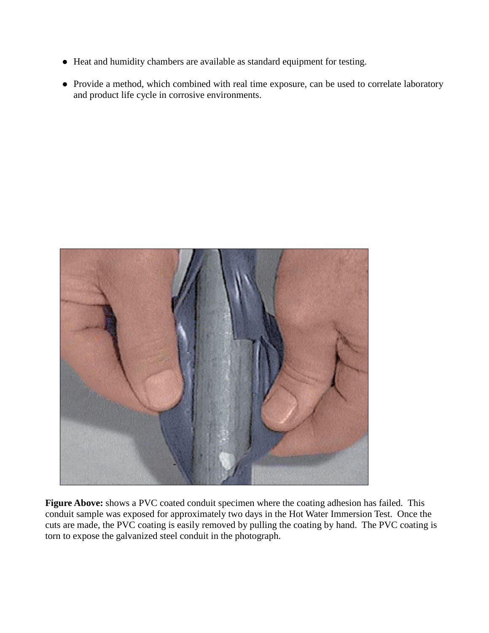- Heat and humidity chambers are available as standard equipment for testing.
- Provide a method, which combined with real time exposure, can be used to correlate laboratory and product life cycle in corrosive environments.



**Figure Above:** shows a PVC coated conduit specimen where the coating adhesion has failed. This conduit sample was exposed for approximately two days in the Hot Water Immersion Test. Once the cuts are made, the PVC coating is easily removed by pulling the coating by hand. The PVC coating is torn to expose the galvanized steel conduit in the photograph.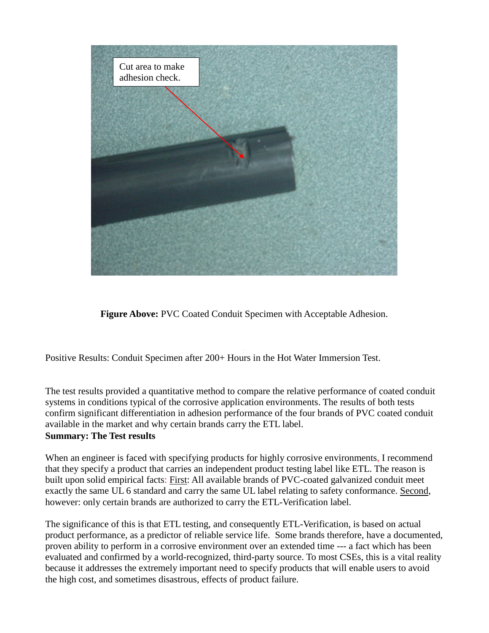

**Figure Above:** PVC Coated Conduit Specimen with Acceptable Adhesion.

Positive Results: Conduit Specimen after 200+ Hours in the Hot Water Immersion Test.

The test results provided a quantitative method to compare the relative performance of coated conduit systems in conditions typical of the corrosive application environments. The results of both tests confirm significant differentiation in adhesion performance of the four brands of PVC coated conduit available in the market and why certain brands carry the ETL label. **Summary: The Test results**

When an engineer is faced with specifying products for highly corrosive environments, I recommend that they specify a product that carries an independent product testing label like ETL. The reason is built upon solid empirical facts: First: All available brands of PVC-coated galvanized conduit meet exactly the same UL 6 standard and carry the same UL label relating to safety conformance. Second, however: only certain brands are authorized to carry the ETL-Verification label.

The significance of this is that ETL testing, and consequently ETL-Verification, is based on actual product performance, as a predictor of reliable service life. Some brands therefore, have a documented, proven ability to perform in a corrosive environment over an extended time --- a fact which has been evaluated and confirmed by a world-recognized, third-party source. To most CSEs, this is a vital reality because it addresses the extremely important need to specify products that will enable users to avoid the high cost, and sometimes disastrous, effects of product failure.